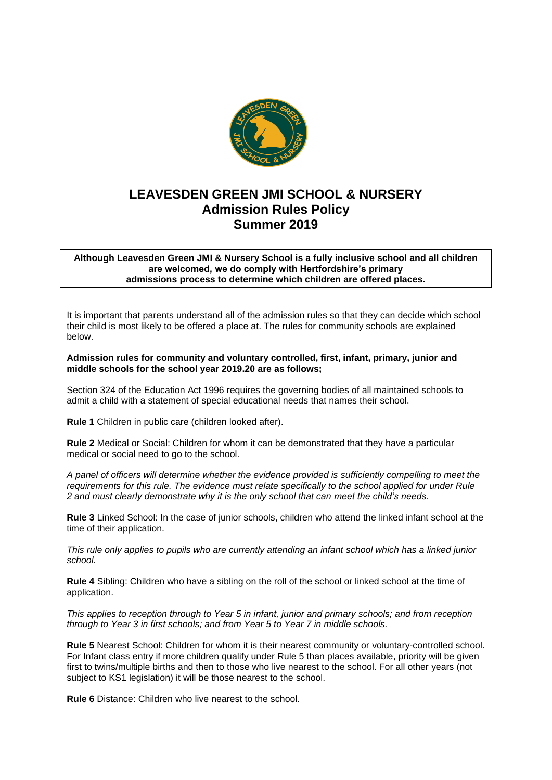

## **LEAVESDEN GREEN JMI SCHOOL & NURSERY Admission Rules Policy Summer 2019**

## **Although Leavesden Green JMI & Nursery School is a fully inclusive school and all children are welcomed, we do comply with Hertfordshire's primary admissions process to determine which children are offered places.**

It is important that parents understand all of the admission rules so that they can decide which school their child is most likely to be offered a place at. The rules for community schools are explained below.

## **Admission rules for community and voluntary controlled, first, infant, primary, junior and middle schools for the school year 2019.20 are as follows;**

Section 324 of the Education Act 1996 requires the governing bodies of all maintained schools to admit a child with a statement of special educational needs that names their school.

**Rule 1** Children in public care (children looked after).

**Rule 2** Medical or Social: Children for whom it can be demonstrated that they have a particular medical or social need to go to the school.

*A panel of officers will determine whether the evidence provided is sufficiently compelling to meet the requirements for this rule. The evidence must relate specifically to the school applied for under Rule 2 and must clearly demonstrate why it is the only school that can meet the child's needs.*

**Rule 3** Linked School: In the case of junior schools, children who attend the linked infant school at the time of their application.

*This rule only applies to pupils who are currently attending an infant school which has a linked junior school.* 

**Rule 4** Sibling: Children who have a sibling on the roll of the school or linked school at the time of application.

*This applies to reception through to Year 5 in infant, junior and primary schools; and from reception through to Year 3 in first schools; and from Year 5 to Year 7 in middle schools.* 

**Rule 5** Nearest School: Children for whom it is their nearest community or voluntary-controlled school. For Infant class entry if more children qualify under Rule 5 than places available, priority will be given first to twins/multiple births and then to those who live nearest to the school. For all other years (not subject to KS1 legislation) it will be those nearest to the school.

**Rule 6** Distance: Children who live nearest to the school.